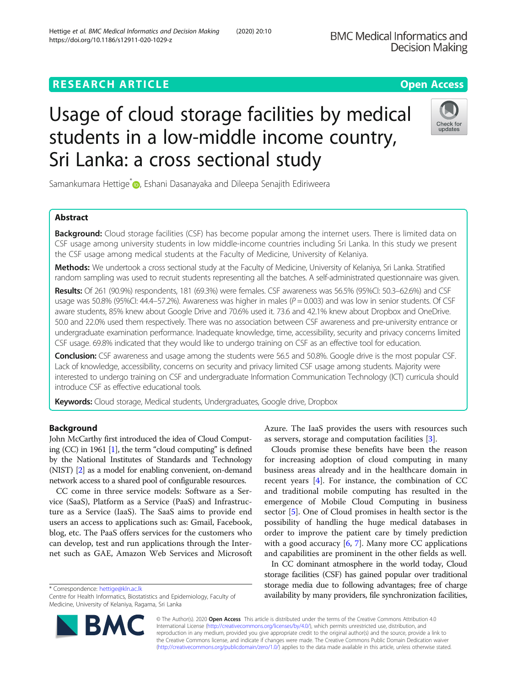# **RESEARCH ARTICLE Example 2014 CONSIDERING A RESEARCH ARTICLE**

# Usage of cloud storage facilities by medical students in a low-middle income country, Sri Lanka: a cross sectional study

Samankumara Hettige<sup>[\\*](http://orcid.org/0000-0001-6698-4469)</sup> <sub>(D</sub>, Eshani Dasanayaka and Dileepa Senajith Ediriweera

# Abstract

**Background:** Cloud storage facilities (CSF) has become popular among the internet users. There is limited data on CSF usage among university students in low middle-income countries including Sri Lanka. In this study we present the CSF usage among medical students at the Faculty of Medicine, University of Kelaniya.

Methods: We undertook a cross sectional study at the Faculty of Medicine, University of Kelaniya, Sri Lanka. Stratified random sampling was used to recruit students representing all the batches. A self-administrated questionnaire was given.

Results: Of 261 (90.9%) respondents, 181 (69.3%) were females. CSF awareness was 56.5% (95%CI: 50.3–62.6%) and CSF usage was 50.8% (95%CI: 44.4–57.2%). Awareness was higher in males ( $P = 0.003$ ) and was low in senior students. Of CSF aware students, 85% knew about Google Drive and 70.6% used it. 73.6 and 42.1% knew about Dropbox and OneDrive. 50.0 and 22.0% used them respectively. There was no association between CSF awareness and pre-university entrance or undergraduate examination performance. Inadequate knowledge, time, accessibility, security and privacy concerns limited CSF usage. 69.8% indicated that they would like to undergo training on CSF as an effective tool for education.

Conclusion: CSF awareness and usage among the students were 56.5 and 50.8%. Google drive is the most popular CSF. Lack of knowledge, accessibility, concerns on security and privacy limited CSF usage among students. Majority were interested to undergo training on CSF and undergraduate Information Communication Technology (ICT) curricula should introduce CSF as effective educational tools.

Keywords: Cloud storage, Medical students, Undergraduates, Google drive, Dropbox

# Background

John McCarthy first introduced the idea of Cloud Computing (CC) in 1961 [\[1\]](#page-6-0), the term "cloud computing" is defined by the National Institutes of Standards and Technology (NIST) [\[2\]](#page-6-0) as a model for enabling convenient, on-demand network access to a shared pool of configurable resources.

CC come in three service models: Software as a Service (SaaS), Platform as a Service (PaaS) and Infrastructure as a Service (IaaS). The SaaS aims to provide end users an access to applications such as: Gmail, Facebook, blog, etc. The PaaS offers services for the customers who can develop, test and run applications through the Internet such as GAE, Amazon Web Services and Microsoft

\* Correspondence: [hettige@kln.ac.lk](mailto:hettige@kln.ac.lk)

sector [[5\]](#page-6-0). One of Cloud promises in health sector is the possibility of handling the huge medical databases in order to improve the patient care by timely prediction with a good accuracy  $[6, 7]$  $[6, 7]$  $[6, 7]$ . Many more CC applications

> and capabilities are prominent in the other fields as well. In CC dominant atmosphere in the world today, Cloud storage facilities (CSF) has gained popular over traditional storage media due to following advantages; free of charge availability by many providers, file synchronization facilities,

> Azure. The IaaS provides the users with resources such

Clouds promise these benefits have been the reason for increasing adoption of cloud computing in many business areas already and in the healthcare domain in recent years [[4\]](#page-6-0). For instance, the combination of CC and traditional mobile computing has resulted in the emergence of Mobile Cloud Computing in business

as servers, storage and computation facilities [[3\]](#page-6-0).

© The Author(s). 2020 Open Access This article is distributed under the terms of the Creative Commons Attribution 4.0 International License [\(http://creativecommons.org/licenses/by/4.0/](http://creativecommons.org/licenses/by/4.0/)), which permits unrestricted use, distribution, and reproduction in any medium, provided you give appropriate credit to the original author(s) and the source, provide a link to the Creative Commons license, and indicate if changes were made. The Creative Commons Public Domain Dedication waiver [\(http://creativecommons.org/publicdomain/zero/1.0/](http://creativecommons.org/publicdomain/zero/1.0/)) applies to the data made available in this article, unless otherwise stated.





Centre for Health Informatics, Biostatistics and Epidemiology, Faculty of Medicine, University of Kelaniya, Ragama, Sri Lanka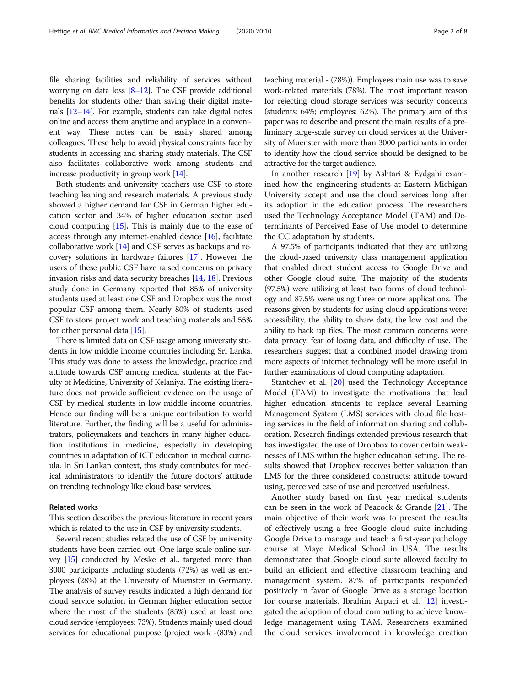file sharing facilities and reliability of services without worrying on data loss [[8](#page-6-0)–[12](#page-6-0)]. The CSF provide additional benefits for students other than saving their digital materials [\[12](#page-6-0)–[14](#page-6-0)]. For example, students can take digital notes online and access them anytime and anyplace in a convenient way. These notes can be easily shared among colleagues. These help to avoid physical constraints face by students in accessing and sharing study materials. The CSF also facilitates collaborative work among students and increase productivity in group work [\[14](#page-6-0)].

Both students and university teachers use CSF to store teaching leaning and research materials. A previous study showed a higher demand for CSF in German higher education sector and 34% of higher education sector used cloud computing [\[15\]](#page-6-0). This is mainly due to the ease of access through any internet-enabled device [[16](#page-7-0)], facilitate collaborative work [\[14\]](#page-6-0) and CSF serves as backups and recovery solutions in hardware failures [\[17\]](#page-7-0). However the users of these public CSF have raised concerns on privacy invasion risks and data security breaches [\[14](#page-6-0), [18](#page-7-0)]. Previous study done in Germany reported that 85% of university students used at least one CSF and Dropbox was the most popular CSF among them. Nearly 80% of students used CSF to store project work and teaching materials and 55% for other personal data [[15](#page-6-0)].

There is limited data on CSF usage among university students in low middle income countries including Sri Lanka. This study was done to assess the knowledge, practice and attitude towards CSF among medical students at the Faculty of Medicine, University of Kelaniya. The existing literature does not provide sufficient evidence on the usage of CSF by medical students in low middle income countries. Hence our finding will be a unique contribution to world literature. Further, the finding will be a useful for administrators, policymakers and teachers in many higher education institutions in medicine, especially in developing countries in adaptation of ICT education in medical curricula. In Sri Lankan context, this study contributes for medical administrators to identify the future doctors' attitude on trending technology like cloud base services.

#### Related works

This section describes the previous literature in recent years which is related to the use in CSF by university students.

Several recent studies related the use of CSF by university students have been carried out. One large scale online survey [\[15\]](#page-6-0) conducted by Meske et al., targeted more than 3000 participants including students (72%) as well as employees (28%) at the University of Muenster in Germany. The analysis of survey results indicated a high demand for cloud service solution in German higher education sector where the most of the students (85%) used at least one cloud service (employees: 73%). Students mainly used cloud services for educational purpose (project work -(83%) and teaching material - (78%)). Employees main use was to save work-related materials (78%). The most important reason for rejecting cloud storage services was security concerns (students: 64%; employees: 62%). The primary aim of this paper was to describe and present the main results of a preliminary large-scale survey on cloud services at the University of Muenster with more than 3000 participants in order to identify how the cloud service should be designed to be attractive for the target audience.

In another research [[19\]](#page-7-0) by Ashtari & Eydgahi examined how the engineering students at Eastern Michigan University accept and use the cloud services long after its adoption in the education process. The researchers used the Technology Acceptance Model (TAM) and Determinants of Perceived Ease of Use model to determine the CC adaptation by students.

A 97.5% of participants indicated that they are utilizing the cloud-based university class management application that enabled direct student access to Google Drive and other Google cloud suite. The majority of the students (97.5%) were utilizing at least two forms of cloud technology and 87.5% were using three or more applications. The reasons given by students for using cloud applications were: accessibility, the ability to share data, the low cost and the ability to back up files. The most common concerns were data privacy, fear of losing data, and difficulty of use. The researchers suggest that a combined model drawing from more aspects of internet technology will be more useful in further examinations of cloud computing adaptation.

Stantchev et al. [\[20\]](#page-7-0) used the Technology Acceptance Model (TAM) to investigate the motivations that lead higher education students to replace several Learning Management System (LMS) services with cloud file hosting services in the field of information sharing and collaboration. Research findings extended previous research that has investigated the use of Dropbox to cover certain weaknesses of LMS within the higher education setting. The results showed that Dropbox receives better valuation than LMS for the three considered constructs: attitude toward using, perceived ease of use and perceived usefulness.

Another study based on first year medical students can be seen in the work of Peacock & Grande [[21\]](#page-7-0). The main objective of their work was to present the results of effectively using a free Google cloud suite including Google Drive to manage and teach a first-year pathology course at Mayo Medical School in USA. The results demonstrated that Google cloud suite allowed faculty to build an efficient and effective classroom teaching and management system. 87% of participants responded positively in favor of Google Drive as a storage location for course materials. Ibrahim Arpaci et al. [\[12](#page-6-0)] investigated the adoption of cloud computing to achieve knowledge management using TAM. Researchers examined the cloud services involvement in knowledge creation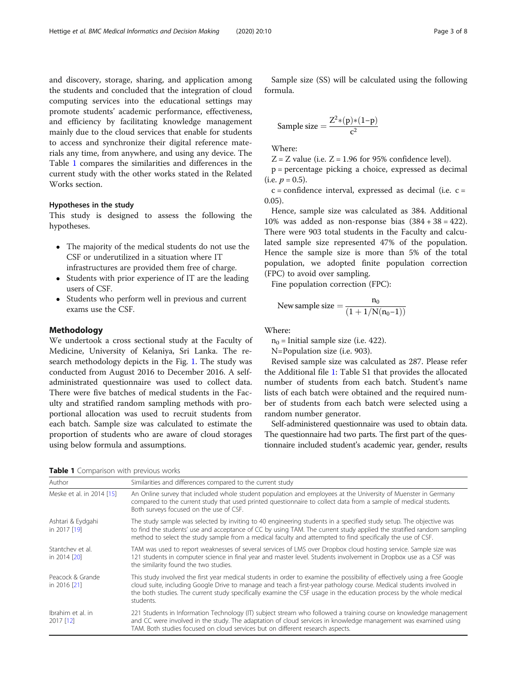and discovery, storage, sharing, and application among the students and concluded that the integration of cloud computing services into the educational settings may promote students' academic performance, effectiveness, and efficiency by facilitating knowledge management mainly due to the cloud services that enable for students to access and synchronize their digital reference materials any time, from anywhere, and using any device. The Table 1 compares the similarities and differences in the current study with the other works stated in the Related Works section.

#### Hypotheses in the study

This study is designed to assess the following the hypotheses.

- The majority of the medical students do not use the CSF or underutilized in a situation where IT infrastructures are provided them free of charge.
- Students with prior experience of IT are the leading users of CSF.
- Students who perform well in previous and current exams use the CSF.

#### Methodology

We undertook a cross sectional study at the Faculty of Medicine, University of Kelaniya, Sri Lanka. The research methodology depicts in the Fig. [1](#page-3-0). The study was conducted from August 2016 to December 2016. A selfadministrated questionnaire was used to collect data. There were five batches of medical students in the Faculty and stratified random sampling methods with proportional allocation was used to recruit students from each batch. Sample size was calculated to estimate the proportion of students who are aware of cloud storages using below formula and assumptions.

Table 1 Comparison with previous works

Sample size (SS) will be calculated using the following formula.

Sample size = 
$$
\frac{Z^2*(p)*(1-p)}{c^2}
$$

Where:

 $Z = Z$  value (i.e.  $Z = 1.96$  for 95% confidence level).

p = percentage picking a choice, expressed as decimal (i.e.  $p = 0.5$ ).

 $c =$  confidence interval, expressed as decimal (i.e.  $c =$ 0.05).

Hence, sample size was calculated as 384. Additional 10% was added as non-response bias  $(384 + 38 = 422)$ . There were 903 total students in the Faculty and calculated sample size represented 47% of the population. Hence the sample size is more than 5% of the total population, we adopted finite population correction (FPC) to avoid over sampling.

Fine population correction (FPC):

$$
\text{New sample size} = \frac{n_0}{(1+1/N(n_0-1))}
$$

Where:

 $n_0$  = Initial sample size (i.e. 422).

N=Population size (i.e. 903).

Revised sample size was calculated as 287. Please refer the Additional file [1:](#page-6-0) Table S1 that provides the allocated number of students from each batch. Student's name lists of each batch were obtained and the required number of students from each batch were selected using a random number generator.

Self-administered questionnaire was used to obtain data. The questionnaire had two parts. The first part of the questionnaire included student's academic year, gender, results

| Author                            | Similarities and differences compared to the current study                                                                                                                                                                                                                                                                                                                             |  |  |  |  |
|-----------------------------------|----------------------------------------------------------------------------------------------------------------------------------------------------------------------------------------------------------------------------------------------------------------------------------------------------------------------------------------------------------------------------------------|--|--|--|--|
| Meske et al. in 2014 [15]         | An Online survey that included whole student population and employees at the University of Muenster in Germany<br>compared to the current study that used printed questionnaire to collect data from a sample of medical students.<br>Both surveys focused on the use of CSF.                                                                                                          |  |  |  |  |
| Ashtari & Eydgahi<br>in 2017 [19] | The study sample was selected by inviting to 40 engineering students in a specified study setup. The objective was<br>to find the students' use and acceptance of CC by using TAM. The current study applied the stratified random sampling<br>method to select the study sample from a medical faculty and attempted to find specifically the use of CSF.                             |  |  |  |  |
| Stantchev et al.<br>in 2014 [20]  | TAM was used to report weaknesses of several services of LMS over Dropbox cloud hosting service. Sample size was<br>121 students in computer science in final year and master level. Students involvement in Dropbox use as a CSF was<br>the similarity found the two studies.                                                                                                         |  |  |  |  |
| Peacock & Grande<br>in 2016 [21]  | This study involved the first year medical students in order to examine the possibility of effectively using a free Google<br>cloud suite, including Google Drive to manage and teach a first-year pathology course. Medical students involved in<br>the both studies. The current study specifically examine the CSF usage in the education process by the whole medical<br>students. |  |  |  |  |
| Ibrahim et al. in<br>2017 [12]    | 221 Students in Information Technology (IT) subject stream who followed a training course on knowledge management<br>and CC were involved in the study. The adaptation of cloud services in knowledge management was examined using<br>TAM. Both studies focused on cloud services but on different research aspects.                                                                  |  |  |  |  |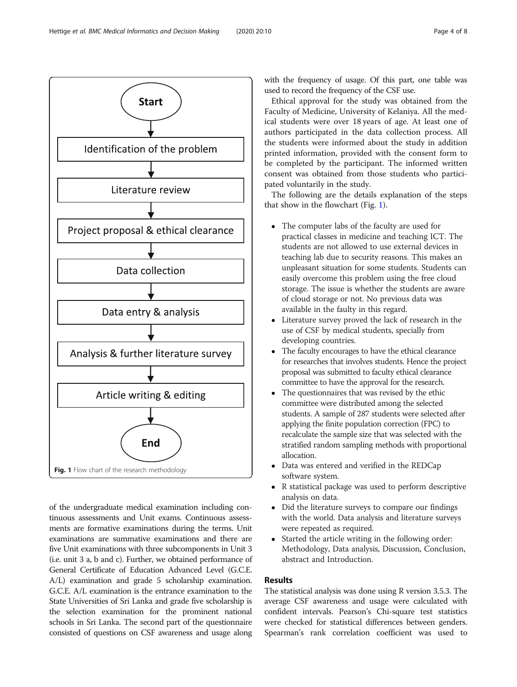<span id="page-3-0"></span>

of the undergraduate medical examination including continuous assessments and Unit exams. Continuous assessments are formative examinations during the terms. Unit examinations are summative examinations and there are five Unit examinations with three subcomponents in Unit 3 (i.e. unit 3 a, b and c). Further, we obtained performance of General Certificate of Education Advanced Level (G.C.E. A/L) examination and grade 5 scholarship examination. G.C.E. A/L examination is the entrance examination to the State Universities of Sri Lanka and grade five scholarship is the selection examination for the prominent national schools in Sri Lanka. The second part of the questionnaire consisted of questions on CSF awareness and usage along

with the frequency of usage. Of this part, one table was used to record the frequency of the CSF use.

Ethical approval for the study was obtained from the Faculty of Medicine, University of Kelaniya. All the medical students were over 18 years of age. At least one of authors participated in the data collection process. All the students were informed about the study in addition printed information, provided with the consent form to be completed by the participant. The informed written consent was obtained from those students who participated voluntarily in the study.

The following are the details explanation of the steps that show in the flowchart (Fig. 1).

- The computer labs of the faculty are used for practical classes in medicine and teaching ICT. The students are not allowed to use external devices in teaching lab due to security reasons. This makes an unpleasant situation for some students. Students can easily overcome this problem using the free cloud storage. The issue is whether the students are aware of cloud storage or not. No previous data was available in the faulty in this regard.
- Literature survey proved the lack of research in the use of CSF by medical students, specially from developing countries.
- The faculty encourages to have the ethical clearance for researches that involves students. Hence the project proposal was submitted to faculty ethical clearance committee to have the approval for the research.
- The questionnaires that was revised by the ethic committee were distributed among the selected students. A sample of 287 students were selected after applying the finite population correction (FPC) to recalculate the sample size that was selected with the stratified random sampling methods with proportional allocation.
- Data was entered and verified in the REDCap software system.
- R statistical package was used to perform descriptive analysis on data.
- Did the literature surveys to compare our findings with the world. Data analysis and literature surveys were repeated as required.
- Started the article writing in the following order: Methodology, Data analysis, Discussion, Conclusion, abstract and Introduction.

## Results

The statistical analysis was done using R version 3.5.3. The average CSF awareness and usage were calculated with confident intervals. Pearson's Chi-square test statistics were checked for statistical differences between genders. Spearman's rank correlation coefficient was used to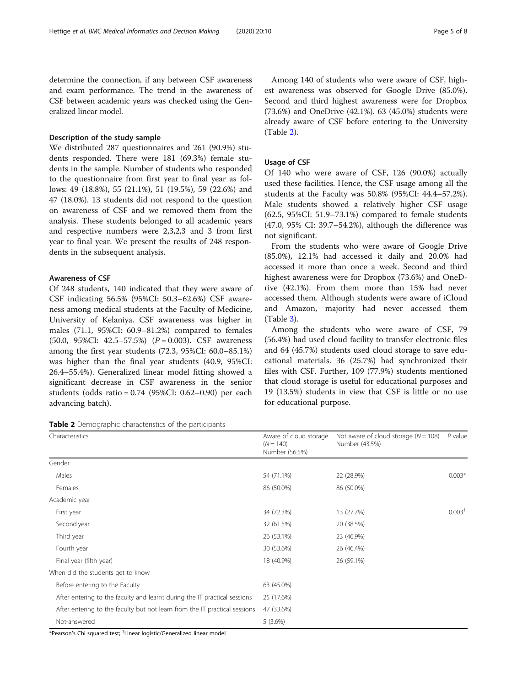determine the connection, if any between CSF awareness and exam performance. The trend in the awareness of CSF between academic years was checked using the Generalized linear model.

## Description of the study sample

We distributed 287 questionnaires and 261 (90.9%) students responded. There were 181 (69.3%) female students in the sample. Number of students who responded to the questionnaire from first year to final year as follows: 49 (18.8%), 55 (21.1%), 51 (19.5%), 59 (22.6%) and 47 (18.0%). 13 students did not respond to the question on awareness of CSF and we removed them from the analysis. These students belonged to all academic years and respective numbers were 2,3,2,3 and 3 from first year to final year. We present the results of 248 respondents in the subsequent analysis.

## Awareness of CSF

Of 248 students, 140 indicated that they were aware of CSF indicating 56.5% (95%CI: 50.3–62.6%) CSF awareness among medical students at the Faculty of Medicine, University of Kelaniya. CSF awareness was higher in males (71.1, 95%CI: 60.9–81.2%) compared to females  $(50.0, 95\%CI: 42.5-57.5%)$   $(P = 0.003)$ . CSF awareness among the first year students (72.3, 95%CI: 60.0–85.1%) was higher than the final year students (40.9, 95%CI: 26.4–55.4%). Generalized linear model fitting showed a significant decrease in CSF awareness in the senior students (odds ratio = 0.74 (95%CI: 0.62–0.90) per each advancing batch).

|  | Table 2 Demographic characteristics of the participants |  |  |  |
|--|---------------------------------------------------------|--|--|--|
|--|---------------------------------------------------------|--|--|--|

Among 140 of students who were aware of CSF, highest awareness was observed for Google Drive (85.0%). Second and third highest awareness were for Dropbox (73.6%) and OneDrive (42.1%). 63 (45.0%) students were already aware of CSF before entering to the University (Table 2).

## Usage of CSF

Of 140 who were aware of CSF, 126 (90.0%) actually used these facilities. Hence, the CSF usage among all the students at the Faculty was 50.8% (95%CI: 44.4–57.2%). Male students showed a relatively higher CSF usage (62.5, 95%CI: 51.9–73.1%) compared to female students (47.0, 95% CI: 39.7–54.2%), although the difference was not significant.

From the students who were aware of Google Drive (85.0%), 12.1% had accessed it daily and 20.0% had accessed it more than once a week. Second and third highest awareness were for Dropbox (73.6%) and OneDrive (42.1%). From them more than 15% had never accessed them. Although students were aware of iCloud and Amazon, majority had never accessed them (Table [3\)](#page-5-0).

Among the students who were aware of CSF, 79 (56.4%) had used cloud facility to transfer electronic files and 64 (45.7%) students used cloud storage to save educational materials. 36 (25.7%) had synchronized their files with CSF. Further, 109 (77.9%) students mentioned that cloud storage is useful for educational purposes and 19 (13.5%) students in view that CSF is little or no use for educational purpose.

| Characteristics                                                            | Aware of cloud storage<br>$(N = 140)$<br>Number (56.5%) | Not aware of cloud storage $(N = 108)$<br>Number (43.5%) | P value  |  |
|----------------------------------------------------------------------------|---------------------------------------------------------|----------------------------------------------------------|----------|--|
| Gender                                                                     |                                                         |                                                          |          |  |
| Males                                                                      | 54 (71.1%)                                              | 22 (28.9%)                                               | $0.003*$ |  |
| Females                                                                    | 86 (50.0%)                                              | 86 (50.0%)                                               |          |  |
| Academic year                                                              |                                                         |                                                          |          |  |
| First year                                                                 | 34 (72.3%)                                              | 13 (27.7%)                                               | $0.003+$ |  |
| Second year                                                                | 32 (61.5%)                                              | 20 (38.5%)                                               |          |  |
| Third year                                                                 | 26 (53.1%)                                              | 23 (46.9%)                                               |          |  |
| Fourth year                                                                | 30 (53.6%)                                              | 26 (46.4%)                                               |          |  |
| Final year (fifth year)                                                    | 18 (40.9%)                                              | 26 (59.1%)                                               |          |  |
| When did the students get to know                                          |                                                         |                                                          |          |  |
| Before entering to the Faculty                                             | 63 (45.0%)                                              |                                                          |          |  |
| After entering to the faculty and learnt during the IT practical sessions  | 25 (17.6%)                                              |                                                          |          |  |
| After entering to the faculty but not learn from the IT practical sessions | 47 (33.6%)                                              |                                                          |          |  |
| Not-answered                                                               | $5(3.6\%)$                                              |                                                          |          |  |

\*Pearson's Chi squared test; † Linear logistic/Generalized linear model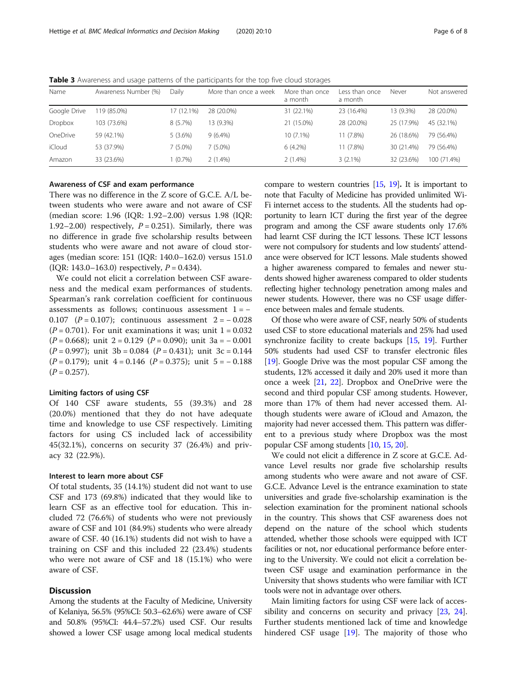| Name           | Awareness Number (%) | Daily      | More than once a week | More than once<br>a month | Less than once<br>a month | Never      | Not answered |
|----------------|----------------------|------------|-----------------------|---------------------------|---------------------------|------------|--------------|
| Google Drive   | 19 (85.0%)           | 17 (12.1%) | 28 (20.0%)            | 31 (22.1%)                | 23 (16.4%)                | 13 (9.3%)  | 28 (20.0%)   |
| <b>Dropbox</b> | 103 (73.6%)          | $8(5.7\%)$ | 13 (9.3%)             | 21 (15.0%)                | 28 (20.0%)                | 25 (17.9%) | 45 (32.1%)   |
| OneDrive       | 59 (42.1%)           | 5(3.6%)    | $9(6.4\%)$            | $10(7.1\%)$               | $11(7.8\%)$               | 26 (18.6%) | 79 (56.4%)   |
| iCloud         | 53 (37.9%)           | $7(5.0\%)$ | $7(5.0\%)$            | $6(4.2\%)$                | $11(7.8\%)$               | 30 (21.4%) | 79 (56.4%)   |
| Amazon         | 33 (23.6%)           | $(0.7\%)$  | $2(1.4\%)$            | $2(1.4\%)$                | $3(2.1\%)$                | 32 (23.6%) | 100 (71.4%)  |

<span id="page-5-0"></span>Table 3 Awareness and usage patterns of the participants for the top five cloud storages

#### Awareness of CSF and exam performance

There was no difference in the Z score of G.C.E. A/L between students who were aware and not aware of CSF (median score: 1.96 (IQR: 1.92–2.00) versus 1.98 (IQR: 1.92–2.00) respectively,  $P = 0.251$ . Similarly, there was no difference in grade five scholarship results between students who were aware and not aware of cloud storages (median score: 151 (IQR: 140.0–162.0) versus 151.0 (IQR: 143.0–163.0) respectively,  $P = 0.434$ ).

We could not elicit a correlation between CSF awareness and the medical exam performances of students. Spearman's rank correlation coefficient for continuous assessments as follows; continuous assessment  $1 = -$ 0.107  $(P = 0.107)$ ; continuous assessment  $2 = -0.028$  $(P = 0.701)$ . For unit examinations it was; unit  $1 = 0.032$  $(P = 0.668)$ ; unit 2 = 0.129 (P = 0.090); unit 3a = -0.001  $(P = 0.997)$ ; unit 3b = 0.084  $(P = 0.431)$ ; unit 3c = 0.144  $(P = 0.179)$ ; unit  $4 = 0.146$   $(P = 0.375)$ ; unit  $5 = -0.188$  $(P = 0.257)$ .

#### Limiting factors of using CSF

Of 140 CSF aware students, 55 (39.3%) and 28 (20.0%) mentioned that they do not have adequate time and knowledge to use CSF respectively. Limiting factors for using CS included lack of accessibility 45(32.1%), concerns on security 37 (26.4%) and privacy 32 (22.9%).

#### Interest to learn more about CSF

Of total students, 35 (14.1%) student did not want to use CSF and 173 (69.8%) indicated that they would like to learn CSF as an effective tool for education. This included 72 (76.6%) of students who were not previously aware of CSF and 101 (84.9%) students who were already aware of CSF. 40 (16.1%) students did not wish to have a training on CSF and this included 22 (23.4%) students who were not aware of CSF and 18 (15.1%) who were aware of CSF.

# **Discussion**

Among the students at the Faculty of Medicine, University of Kelaniya, 56.5% (95%CI: 50.3–62.6%) were aware of CSF and 50.8% (95%CI: 44.4–57.2%) used CSF. Our results showed a lower CSF usage among local medical students compare to western countries [[15](#page-6-0), [19\]](#page-7-0). It is important to note that Faculty of Medicine has provided unlimited Wi-Fi internet access to the students. All the students had opportunity to learn ICT during the first year of the degree program and among the CSF aware students only 17.6% had learnt CSF during the ICT lessons. These ICT lessons were not compulsory for students and low students' attendance were observed for ICT lessons. Male students showed a higher awareness compared to females and newer students showed higher awareness compared to older students reflecting higher technology penetration among males and newer students. However, there was no CSF usage difference between males and female students.

Of those who were aware of CSF, nearly 50% of students used CSF to store educational materials and 25% had used synchronize facility to create backups [[15](#page-6-0), [19](#page-7-0)]. Further 50% students had used CSF to transfer electronic files [[19](#page-7-0)]. Google Drive was the most popular CSF among the students, 12% accessed it daily and 20% used it more than once a week [[21](#page-7-0), [22](#page-7-0)]. Dropbox and OneDrive were the second and third popular CSF among students. However, more than 17% of them had never accessed them. Although students were aware of iCloud and Amazon, the majority had never accessed them. This pattern was different to a previous study where Dropbox was the most popular CSF among students [[10](#page-6-0), [15,](#page-6-0) [20\]](#page-7-0).

We could not elicit a difference in Z score at G.C.E. Advance Level results nor grade five scholarship results among students who were aware and not aware of CSF. G.C.E. Advance Level is the entrance examination to state universities and grade five-scholarship examination is the selection examination for the prominent national schools in the country. This shows that CSF awareness does not depend on the nature of the school which students attended, whether those schools were equipped with ICT facilities or not, nor educational performance before entering to the University. We could not elicit a correlation between CSF usage and examination performance in the University that shows students who were familiar with ICT tools were not in advantage over others.

Main limiting factors for using CSF were lack of accessibility and concerns on security and privacy [[23](#page-7-0), [24](#page-7-0)]. Further students mentioned lack of time and knowledge hindered CSF usage [[19](#page-7-0)]. The majority of those who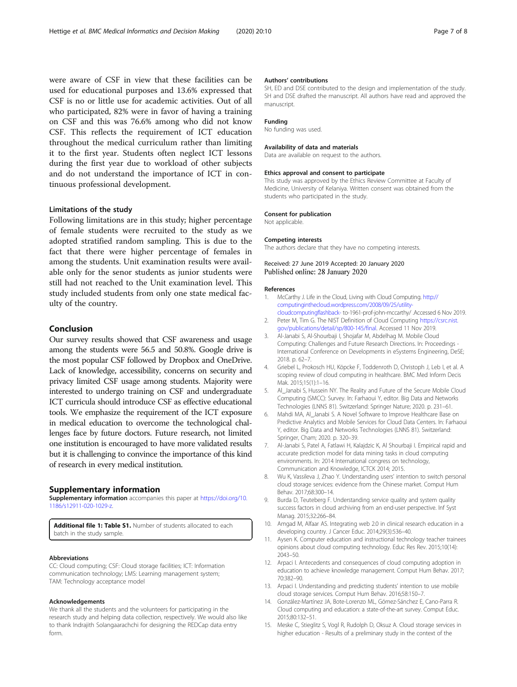<span id="page-6-0"></span>were aware of CSF in view that these facilities can be used for educational purposes and 13.6% expressed that CSF is no or little use for academic activities. Out of all who participated, 82% were in favor of having a training on CSF and this was 76.6% among who did not know CSF. This reflects the requirement of ICT education throughout the medical curriculum rather than limiting it to the first year. Students often neglect ICT lessons during the first year due to workload of other subjects and do not understand the importance of ICT in continuous professional development.

#### Limitations of the study

Following limitations are in this study; higher percentage of female students were recruited to the study as we adopted stratified random sampling. This is due to the fact that there were higher percentage of females in among the students. Unit examination results were available only for the senor students as junior students were still had not reached to the Unit examination level. This study included students from only one state medical faculty of the country.

#### Conclusion

Our survey results showed that CSF awareness and usage among the students were 56.5 and 50.8%. Google drive is the most popular CSF followed by Dropbox and OneDrive. Lack of knowledge, accessibility, concerns on security and privacy limited CSF usage among students. Majority were interested to undergo training on CSF and undergraduate ICT curricula should introduce CSF as effective educational tools. We emphasize the requirement of the ICT exposure in medical education to overcome the technological challenges face by future doctors. Future research, not limited one institution is encouraged to have more validated results but it is challenging to convince the importance of this kind of research in every medical institution.

#### Supplementary information

Supplementary information accompanies this paper at [https://doi.org/10.](https://doi.org/10.1186/s12911-020-1029-z) [1186/s12911-020-1029-z](https://doi.org/10.1186/s12911-020-1029-z).

Additional file 1: Table S1. Number of students allocated to each batch in the study sample.

#### **Abbreviations**

CC: Cloud computing; CSF: Cloud storage facilities; ICT: Information communication technology; LMS: Learning management system; TAM: Technology acceptance model

#### Acknowledgements

We thank all the students and the volunteers for participating in the research study and helping data collection, respectively. We would also like to thank Indrajith Solangaarachchi for designing the REDCap data entry form.

#### Authors' contributions

SH, ED and DSE contributed to the design and implementation of the study. SH and DSE drafted the manuscript. All authors have read and approved the manuscript.

#### Funding

No funding was used.

#### Availability of data and materials

Data are available on request to the authors.

#### Ethics approval and consent to participate

This study was approved by the Ethics Review Committee at Faculty of Medicine, University of Kelaniya. Written consent was obtained from the students who participated in the study.

#### Consent for publication

Not applicable.

#### Competing interests

The authors declare that they have no competing interests.

Received: 27 June 2019 Accepted: 20 January 2020 Published online: 28 January 2020

#### References

- 1. McCarthy J. Life in the Cloud, Living with Cloud Computing. [http://](http://computinginthecloud.wordpress.com/2008/09/25/utility-cloudcomputingflashback-) [computinginthecloud.wordpress.com/2008/09/25/utility](http://computinginthecloud.wordpress.com/2008/09/25/utility-cloudcomputingflashback-)[cloudcomputingflashback-](http://computinginthecloud.wordpress.com/2008/09/25/utility-cloudcomputingflashback-) to-1961-prof-john-mccarthy/ .Accessed 6 Nov 2019.
- 2. Peter M, Tim G. The NIST Definition of Cloud Computing [https://csrc.nist.](https://csrc.nist.gov/publications/detail/sp/800-145/final) [gov/publications/detail/sp/800-145/final.](https://csrc.nist.gov/publications/detail/sp/800-145/final) Accessed 11 Nov 2019.
- 3. Al-Janabi S, Al-Shourbaji I, Shojafar M, Abdelhag M. Mobile Cloud
- Computing: Challenges and Future Research Directions. In: Proceedings International Conference on Developments in eSystems Engineering, DeSE; 2018. p. 62–7.
- 4. Griebel L, Prokosch HU, Köpcke F, Toddenroth D, Christoph J, Leb I, et al. A scoping review of cloud computing in healthcare. BMC Med Inform Decis Mak. 2015;15(1):1–16.
- 5. Al\_Janabi S, Hussein NY. The Reality and Future of the Secure Mobile Cloud Computing (SMCC): Survey. In: Farhaoui Y, editor. Big Data and Networks Technologies (LNNS 81). Switzerland: Springer Nature; 2020. p. 231–61.
- 6. Mahdi MA, Al\_Janabi S. A Novel Software to Improve Healthcare Base on Predictive Analytics and Mobile Services for Cloud Data Centers. In: Farhaoui Y, editor. Big Data and Networks Technologies (LNNS 81). Switzerland: Springer, Cham; 2020. p. 320–39.
- 7. Al-Janabi S, Patel A, Fatlawi H, Kalajdzic K, Al Shourbaji I. Empirical rapid and accurate prediction model for data mining tasks in cloud computing environments. In: 2014 International congress on technology, Communication and Knowledge, ICTCK 2014; 2015.
- 8. Wu K, Vassileva J, Zhao Y. Understanding users' intention to switch personal cloud storage services: evidence from the Chinese market. Comput Hum Behav. 2017;68:300–14.
- 9. Burda D, Teuteberg F. Understanding service quality and system quality success factors in cloud archiving from an end-user perspective. Inf Syst Manag. 2015;32:266–84.
- 10. Amgad M, Alfaar AS. Integrating web 2.0 in clinical research education in a developing country. J Cancer Educ. 2014;29(3):536–40.
- 11. Aysen K. Computer education and instructional technology teacher trainees opinions about cloud computing technology. Educ Res Rev. 2015;10(14): 2043–50.
- 12. Arpaci I. Antecedents and consequences of cloud computing adoption in education to achieve knowledge management. Comput Hum Behav. 2017; 70:382–90.
- 13. Arpaci I. Understanding and predicting students' intention to use mobile cloud storage services. Comput Hum Behav. 2016;58:150–7.
- 14. González-Martínez JA, Bote-Lorenzo ML, Gómez-Sánchez E, Cano-Parra R. Cloud computing and education: a state-of-the-art survey. Comput Educ. 2015;80:132–51.
- 15. Meske C, Stieglitz S, Vogl R, Rudolph D, Oksuz A. Cloud storage services in higher education - Results of a preliminary study in the context of the